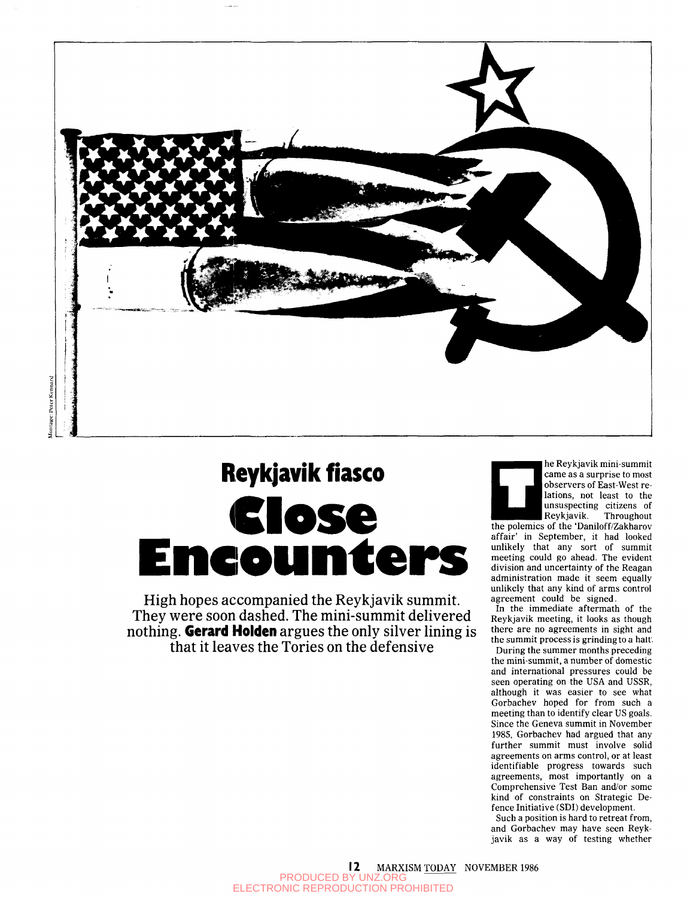

# **Reykjavik fiasco Close Encounter MCOUNTCEPS**<br>
High hopes accompanied the Reykjavik summit.<br>
They were soon dashed. The mini-summit delivered

nothing. Gerard Holden argues the only silver lining is that it leaves the Tories on the defensive nothing. German argues the only silver line is a second in the only silver line is a second in the only silver line of  $\mathcal{L}$ 



he Reykjavik mini-summit came as a surprise to most observers of East-West relations, not least to the unsuspecting citizens of Reykjavik. Throughout

**EXECUTE:** Reykjavik. Throughout the polemics of the 'Daniloff/Zakharov affair' in September, it had looked unlikely that any sort of summit meeting could go ahead. The evident division and uncertainty of the Reagan administration made it seem equally unlikely that any kind of arms control agreement could be signed.

In the immediate aftermath of the Reykjavik meeting, it looks as though there are no agreements in sight and the summit process is grinding to a halt.

During the summer months preceding the mini-summit, a number of domestic and international pressures could be seen operating on the USA and USSR, although it was easier to see what Gorbachev hoped for from such a meeting than to identify clear US goals. Since the Geneva summit in November 1985, Gorbachev had argued that any further summit must involve solid agreements on arms control, or at least identifiable progress towards such agreements, most importantly on a Comprehensive Test Ban and/or some kind of constraints on Strategic Defence Initiative (SDI) development.

Such a position is hard to retreat from, and Gorbachev may have seen Reykjavik as a way of testing whether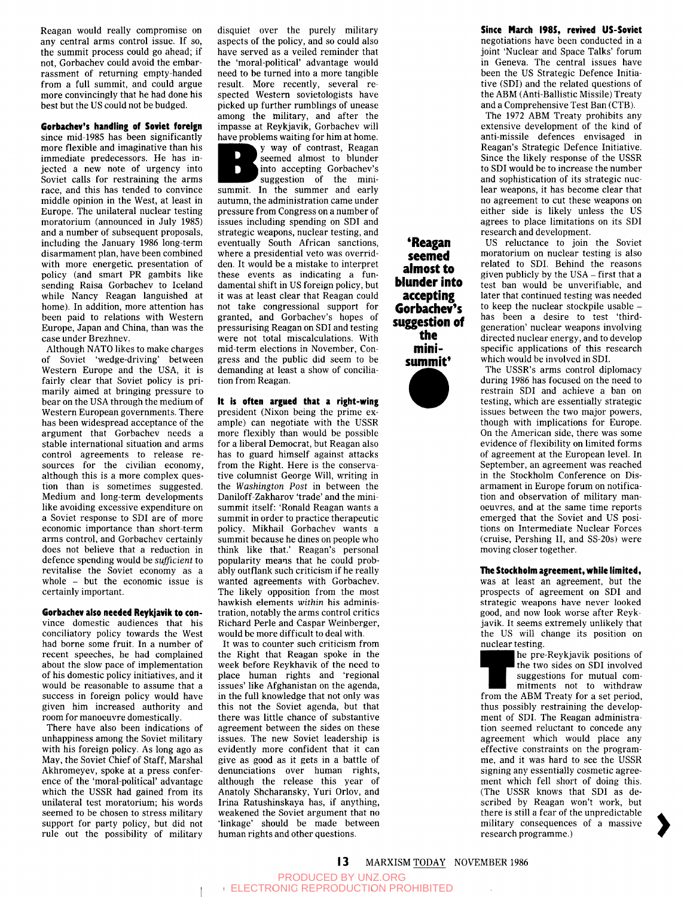Reagan would really compromise on any central arms control issue. If so, the summit process could go ahead; if not, Gorbachev could avoid the embarrassment of returning empty-handed from a full summit, and could argue more convincingly that he had done his best but the US could not be budged.

## **Gorbachev's handling of Soviet foreign**

since mid-1985 has been significantly more flexible and imaginative than his immediate predecessors. He has injected a new note of urgency into Soviet calls for restraining the arms race, and this has tended to convince middle opinion in the West, at least in Europe. The unilateral nuclear testing moratorium (announced in July 1985) and a number of subsequent proposals, including the January 1986 long-term disarmament plan, have been combined with more energetic presentation of policy (and smart PR gambits like sending Raisa Gorbachev to Iceland while Nancy Reagan languished at home). In addition, more attention has been paid to relations with Western Europe, Japan and China, than was the case under Brezhnev.

Although NATO likes to make charges of Soviet 'wedge-driving' between Western Europe and the USA, it is western Europe and the USA, it is rairly clear that Soviet policy is primarily almed at bringing pressure to Dear on the USA through the medium of<br>Western European governments. There Western European governments. There has been widespread acceptance of the argument that Gorbachev needs a stable international situation and arms control agreements to release resources for the civilian economy, although this is a more complex question than is sometimes suggested. Medium and long-term developments like avoiding excessive expenditure on a Soviet response to SDI are of more economic importance than short-term arms control, and Gorbachev certainly does not believe that a reduction in defence spending would be *sufficient* to revitalise the Soviet economy as a whole  $-$  but the economic issue is certainly important.

## **Gorbachev also needed Reykjavik to** con-

vince domestic audiences that his conciliatory policy towards the West had borne some fruit. In a number of recent speeches, he had complained about the slow pace of implementation of his domestic policy initiatives, and it would be reasonable to assume that a success in foreign policy would have given him increased authority and room for manoeuvre domestically.

There have also been indications of unhappiness among the Soviet military with his foreign policy. As long ago as May, the Soviet Chief of Staff, Marshal Akhromeyev, spoke at a press conference of the 'moral-political' advantage which the USSR had gained from its unilateral test moratorium; his words seemed to be chosen to stress military support for party policy, but did not rule out the possibility of military disquiet over the purely military aspects of the policy, and so could also have served as a veiled reminder that the 'moral-political' advantage would need to be turned into a more tangible result. More recently, several respected Western sovietologists have picked up further rumblings of unease among the military, and after the impasse at Reykjavik, Gorbachev will have problems waiting for him at home,

y way of contrast, Reagan seemed almost to blunder into accepting Gorbachev's D suggestion of the minisummit. In the summer and early autumn, the administration came under pressure from Congress on a number of issues including spending on SDI and strategic weapons, nuclear testing, and eventually South African sanctions, where a presidential veto was overridden. It would be a mistake to interpret these events as indicating a fundamental shift in US foreign policy, but it was at least clear that Reagan could not take congressional support for granted, and Gorbachev's hopes of pressurising Reagan on SDI and testing were not total miscalculations. With mid-term elections in November, Congress and the public did seem to be demanding at least a show of conciliation from Reagan.

**It is often argued that a right-wing**  president (Nixon being the prime example) can negotiate with the USSR more flexibly than would be possible for a liberal Democrat, but Reagan also has to guard himself against attacks from the Right. Here is the conservative columnist George Will, writing in the *Washington Post* in between the Daniloff-Zakharov 'trade' and the minisummit itself: 'Ronald Reagan wants a summit in order to practice therapeutic policy. Mikhail Gorbachev wants a summit because he dines on people who think like that.' Reagan's personal popularity means that he could probably outflank such criticism if he really wanted agreements with Gorbachev. The likely opposition from the most hawkish elements *within* his administration, notably the arms control critics Richard Perle and Caspar Weinberger, would be more difficult to deal with.

It was to counter such criticism from the Right that Reagan spoke in the week before Reykhavik of the need to place human rights and 'regional issues' like Afghanistan on the agenda, in the full knowledge that not only was this not the Soviet agenda, but that there was little chance of substantive agreement between the sides on these agreement between the sides on these existently more confident that it can evidently more confident that it can give as good as it gets in a battle of denunciations over human rights, although the release this year of Anatoly Shcharansky, Yuri Orlov, and Irina Ratushinskaya has, if anything, weakened the Soviet argument that no 'linkage' should be made between<br>human rights and other questions.

**\*Reagan seemed almost to blunder into accepting Gorbachev's suggestion of the minisummit\*** 



**Since March I98S, revived US-Soviet**  negotiations have been conducted in a joint 'Nuclear and Space Talks' forum in Geneva. The central issues have been the US Strategic Defence Initiative (SDI) and the related questions of the ABM (Anti-Ballistic Missile) Treaty and a Comprehensive Test Ban (CTB).

The 1972 ABM Treaty prohibits any extensive development of the kind of anti-missile defences envisaged in Reagan's Strategic Defence Initiative. Since the likely response of the USSR to SDI would be to increase the number and sophistication of its strategic nuclear weapons, it has become clear that no agreement to cut these weapons on either side is likely unless the US agrees to place limitations on its SDI research and development.

US reluctance to join the Soviet moratorium on nuclear testing is also related to SDI. Behind the reasons given publicly by the USA - first that a test ban would be unverifiable, and later that continued testing was needed to keep the nuclear stockpile usable has been a desire to test 'thirdgeneration' nuclear weapons involving directed nuclear energy, and to develop specific applications of this research which would be involved in SDI.

The USSR's arms control diplomacy during 1986 has focused on the need to restrain SDI and achieve a ban on testing, which are essentially strategic issues between the two major powers, though with implications for Europe. On the American side, there was some evidence of flexibility on limited forms of agreement at the European level. In September, an agreement was reached in the Stockholm Conference on Disarmament in Europe forum on notification and observation of military manoeuvres, and at the same time reports emerged that the Soviet and US positions on Intermediate Nuclear Forces (cruise, Pershing II, and SS-20s) were moving closer together.

## **The Stockholm agreement, while limited,**

was at least an agreement, but the prospects of agreement on SDI and strategic weapons have never looked good, and now look worse after Reykjavik. It seems extremely unlikely that the US will change its position on nuclear testing.

nuclear testing.<br>
he pre-Reykjavik positions of<br>
the two sides on SDI involved<br>
suggestions for mutual com-<br>
mitments not to withdraw<br>
from the ABM Treaty for a set period, he pre-Reykjavik positions of the two sides on SDI involved suggestions for mutual commitments not to withdraw thus possibly restraining the development of SDI. The Reagan administration seemed reluctant to concede any agreement which would place any effective constraints on the programme, and it was hard to see the USSR signing any essentially cosmetic agreement which fell short of doing this. (The USSR knows that SDI as described by Reagan won't work, but there is still a fear of the unpredictable military consequences of a massive research programme.)

13 MARXISM TODAY NOVEMBER 1986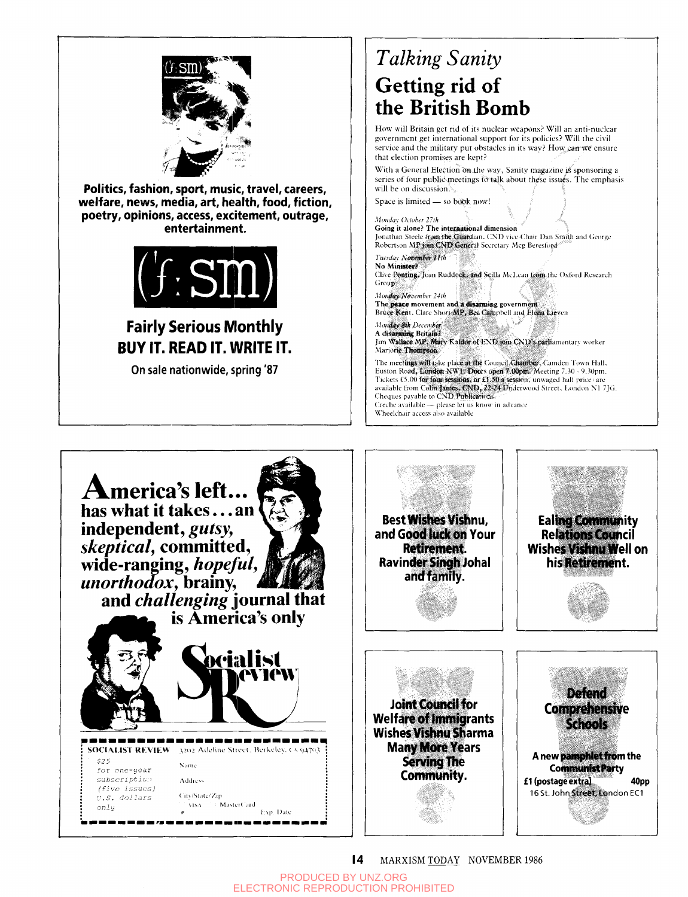

Politics, fashion, sport, music, travel, careers, welfare, news, media, art, health, food, fiction, poetry, opinions, access, excitement, outrage, entertainment.



## **Fairly Serious Monthly BUY IT. READ IT. WRITE IT.**

On sale nationwide, spring '87

## **Talking Sanity** Getting rid of the British Bomb

How will Britain get rid of its nuclear weapons? Will an anti-nuclear government get international support for its policies? Will the civil service and the military put obstacles in its way? How can we ensure that election promises are kept?

With a General Election on the way, Sanity magazine is sponsoring a series of four public meetings to talk about these issues. The emphasis will be on discussion.

Space is limited - so book now!

### Monday October 27th Going it alone? The international dimension Jonathan Steele from the Guardian, CND vice-Chair Dan Smith and George Robertson MP join CND General Secretary Meg Bereslord Tuesday November 11th No Minister? Clive Ponting, Joan Ruddock: and Scilla McLean trom the Oxford Research Group Monday November 24th The peace movement and a disarming government Bruce Kent, Clare Short MP, Bea Campbell and Elena Lieven Monday 8th December

A disarming Britain? Jim Wallace MP, Mary Kaldor of END join CND's parliamentary worker Marjorie Thompson

The meetings will take place at the Council Chamber, Camden Town Hall, Euston Road, London NW1. Doors open 7.00pm. Meeting 7.30 - 9.30pm. Tickets £5.00 for four sessions, or £1.50 a session, unwaged half price are available from Colin James, CND, 22-24 Underwood Street, London N1 7JG.<br>Cheques payable to CND Publications. Creche available - please let us know in advance

Wheelchair access also available



MARXISM TODAY NOVEMBER 1986  $\overline{14}$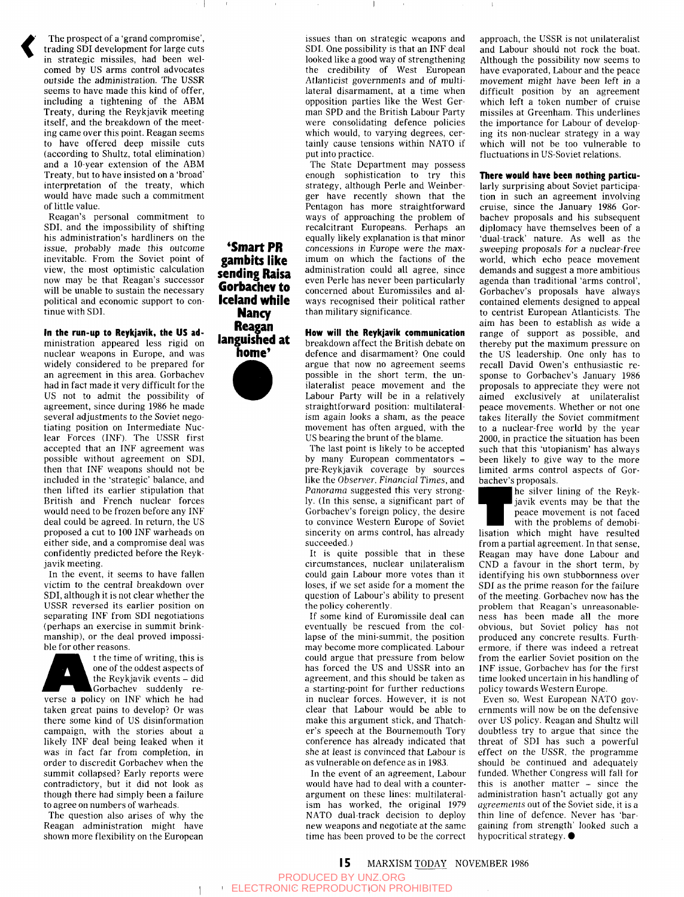

The prospect of a 'grand compromise', trading SDI development for large cuts in strategic missiles, had been welcomed by US arms control advocates outside the administration. The USSR seems to have made this kind of offer, including a tightening of the ABM Treaty, during the Reykjavik meeting itself, and the breakdown of the meeting came over this point. Reagan seems to have offered deep missile cuts (according to Shultz, total elimination) and a 10-year extension of the ABM Treaty, but to have insisted on a 'broad' interpretation of the treaty, which would have made such a commitment of little value.

Reagan's personal commitment to SDI. and the impossibility of shifting his administration's hardliners on the issue, probably made this outcome inevitable. From the Soviet point of view, the most optimistic calculation now may be that Reagan's successor will be unable to sustain the necessary political and economic support to continue with SDI.

**in the run-up to Reykjavik, the US** administration appeared less rigid on nuclear weapons in Europe, and was widely considered to be prepared for an agreement in this area. Gorbachev had in fact made it very difficult for the US not to admit the possibility of agreement, since during 1986 he made several adjustments to the Soviet negotiating position on Intermediate Nuclear Forces (INF). The USSR first accepted that an INF agreement was possible without agreement on SDI, then that INF weapons should not be included in the 'strategic' balance, and then lifted its earlier stipulation that British and French nuclear forces would need to be frozen before any INF deal could be agreed. In return, the US proposed a cut to 100 INF warheads on either side, and a compromise deal was confidently predicted before the Reykjavik meeting.

In the event, it seems to have fallen victim to the central breakdown over SDI, although it is not clear whether the USSR reversed its earlier position on separating INF from SDI negotiations (perhaps an exercise in summit brinkmanship), or the deal proved impossible for other reasons.



mansinp), or the deal proved impossi-<br>ble for other reasons.<br>the time of writing, this is<br>one of the oddest aspects of<br>the Reykjavik events – did<br>Gorbachev suddenly re-<br>verse a policy on INF which he had t the time of writing, this is one of the oddest aspects of the Reykjavik events - did Gorbachev suddenly re-

taken great pains to develop? Or was there some kind of US disinformation campaign, with the stories about a likely INF deal being leaked when it was in fact far from completion, in order to discredit Gorbachev when the summit collapsed? Early reports were contradictory, but it did not look as though there had simply been a failure to agree on numbers of warheads.

The question also arises of why the Reagan administration might have shown more flexibility on the European

**\*Smart PR gambits like sending Raisa Gorbachev to Iceland while Nancy Reagan languished at home'** 



issues than on strategic weapons and SDI. One possibility is that an INF deal looked like a good way of strengthening the credibility of West European Atlanticist governments and of multilateral disarmament, at a time when opposition parties like the West German SPD and the British Labour Party were consolidating defence policies which would, to varying degrees, certainly cause tensions within NATO if put into practice.

The State Department may possess enough sophistication to try this strategy, although Perle and Weinberger have recently shown that the Pentagon has more straightforward ways of approaching the problem of recalcitrant Europeans. Perhaps an equally likely explanation is that minor concessions in Europe were the maximum on which the factions of the administration could all agree, since even Perle has never been particularly concerned about Euromissiles and always recognised their political rather than military significance.

**How will the Reykjavik communication**  breakdown affect the British debate on defence and disarmament? One could argue that now no agreement seems possible in the short term, the unilateralist peace movement and the Labour Party will be in a relatively straightforward position: multilateralism again looks a sham, as the peace movement has often argued, with the US bearing the brunt of the blame.

The last point is likely to be accepted by many European commentators pre-Reykjavik coverage by sources like the *Observer. Financial Times,* and *Panorama* suggested this very strongly. (In this sense, a significant part of Gorbachev's foreign policy, the desire to convince Western Europe of Soviet sincerity on arms control, has already succeeded.)

It is quite possible that in these circumstances, nuclear unilateralism could gain Labour more votes than it loses, if we set aside for a moment the question of Labour's ability to present the policy coherently.

If some kind of Euromissile deal can eventually be rescued from the collapse of the mini-summit, the position may become more complicated. Labour could argue that pressure from below has forced the US and USSR into an agreement, and this should be taken as a starting-point for further reductions in nuclear forces. However, it is not clear that Labour would be able to make this argument stick, and Thatcher's speech at the Bournemouth Tory conference has already indicated that she at least is convinced that Labour is as vulnerable on defence as in 1983.

In the event of an agreement. Labour would have had to deal with a counterargument on these lines: multilateralism has worked, the original 1979 NATO dual-track decision to deploy new weapons and negotiate at the same time has been proved to be the correct approach, the USSR is not unilateralist and Labour should not rock the boat. Although the possibility now seems to have evaporated. Labour and the peace movement might have been left in a difficult position by an agreement which left a token number of cruise missiles at Greenham. This underlines the importance for Labour of developing its non-nuclear strategy in a way which will not be too vulnerable to fluctuations in US-Soviet relations.

#### **There would have been nothing** particu-

larly surprising about Soviet participation in such an agreement involving cruise, since the January 1986 Gorbachev proposals and his subsequent diplomacy have themselves been of a 'dual-track' nature. As well as the sweeping proposals for a nuclear-free world, which echo peace movement demands and suggest a more ambitious agenda than traditional 'arms control', Gorbachev's proposals have always contained elements designed to appeal to centrist European Atlanticists. The aim has been to establish as wide a range of support as possible, and thereby put the maximum pressure on the US leadership. One only has to recall David Owen's enthusiastic response to Gorbachev's January 1986 proposals to appreciate they were not aimed exclusively at unilateralist peace movements. Whether or not one takes literally the Soviet commitment to a nuclear-free world by the year 2000, in proctice the situation has been  $2000$ , in practice the situation has been such that this 'utopianism' has always been likely to give way to the more limited arms control aspects of Gorbachev's proposals.

bachev's proposals.<br>
he silver lining of the Reyk-<br>
javik events may be that the<br>
peace movement is not faced<br>
with the problems of demobi-<br>
lisation which might have resulted he silver lining of the Reykjavik events may be that the peace movement is not faced with the problems of demobi-

from a partial agreement. In that sense, Reagan may have done Labour and CND a favour in the short term, by identifying his own stubbornness over SDI as the prime reason for the failure of the meeting. Gorbachev now has the problem that Reagan's unreasonableness has been made all the more obvious, but Soviet policy has not produced any concrete results. Furthermore, if there was indeed a retreat from the earlier Soviet position on the INF issue, Gorbachev has for the first time looked uncertain in his handling of policy towards Western Europe.

Even so. West European NATO governments will now be on the defensive over US policy. Reagan and Shultz will doubtless try to argue that since the threat of SDI has such a powerful effect on the USSR, the programme should be continued and adequately funded. Whether Congress will fall for this is another matter - since the administration hasn't actually got any *agreements* out of the Soviet side, it is a thin line of defence. Never has 'bargaining from strength' looked such a hypocritical strategy.  $\bullet$ 

**15** MARXISM TODAY NOVEMBER 1986